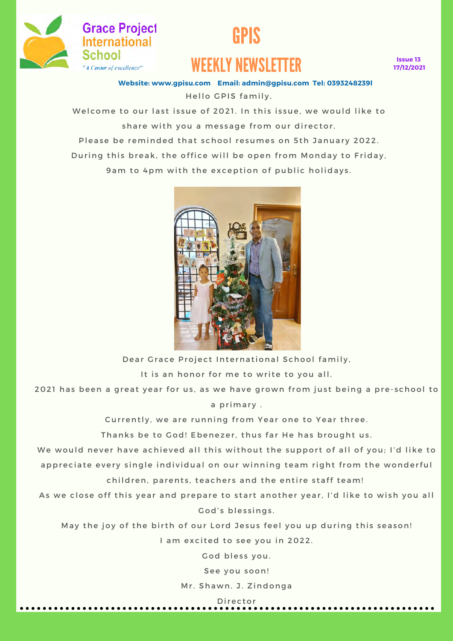

## GPIS WEEKLY NEWSLETTER

**Issue 13 17/12/2021**

**Website: www.gpisu.com Email: admin@gpisu.com Tel: 0393248239l** Hello GPIS family,

Welcome to our last issue of 2021. In this issue, we would like to share with you a message from our director.

Please be reminded that school resumes on 5th January 2022.

During this break, the office will be open from Monday to Friday,

9 am to 4pm with the exception of public holidays.



Dear Grace Project International School family,

It is an honor for me to write to you all.

2021 has been a great year for us, as we have grown from just being a pre-school to a primary.

Currently, we are running from Year one to Year three.

Thanks be to God! Ebenezer, thus far He has brought us.

We would never have achieved all this without the support of all of you; I'd like to appreciate every single individual on our winning team right from the wonderful children, parents, teachers and the entire staff team!

As we close off this year and prepare to start another year, I'd like to wish you all God's blessings.

May the joy of the birth of our Lord Jesus feel you up during this season! I am excited to see you in 2022.

God bless you.

See you soon!

Mr. Shawn. J. Zindonga

D i r e c t o r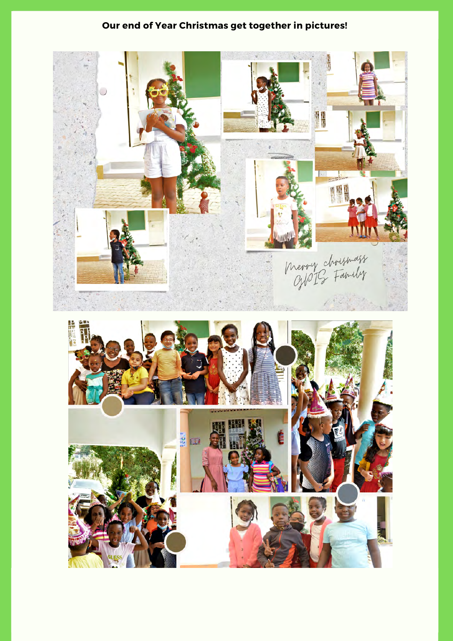## **Our end of Year Christmas get together in pictures!**